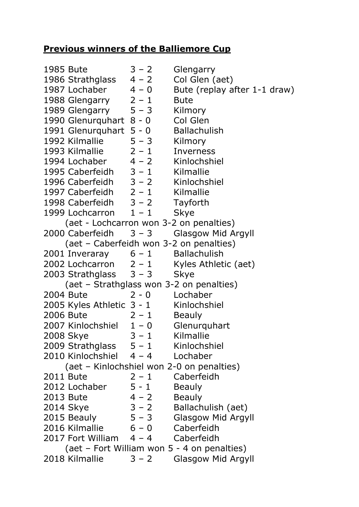## **Previous winners of the Balliemore Cup**

| $3 - 2$<br>1985 Bute                        |                | Glengarry                                    |
|---------------------------------------------|----------------|----------------------------------------------|
| 1986 Strathglass $4-2$                      |                | Col Glen (aet)                               |
| 1987 Lochaber $4-0$                         |                | Bute (replay after 1-1 draw)                 |
| 1988 Glengarry $2 - 1$                      |                | <b>Bute</b>                                  |
| 1989 Glengarry $5 - 3$                      |                | Kilmory                                      |
| 1990 Glenurquhart 8 - 0 Col Glen            |                |                                              |
| 1991 Glenurquhart 5 - 0                     |                | <b>Ballachulish</b>                          |
| 1992 Kilmallie $5 - 3$                      |                | Kilmory                                      |
| 1993 Kilmallie 2 – 1                        |                | Inverness                                    |
| 1994 Lochaber 4 - 2 Kinlochshiel            |                |                                              |
| 1995 Caberfeidh 3 - 1 Kilmallie             |                |                                              |
| 1996 Caberfeidh 3 - 2 Kinlochshiel          |                |                                              |
| 1997 Caberfeidh 2 - 1 Kilmallie             |                |                                              |
| 1998 Caberfeidh 3 - 2 Tayforth              |                |                                              |
| 1999 Lochcarron 1 - 1 Skye                  |                |                                              |
|                                             |                | (aet - Lochcarron won 3-2 on penalties)      |
| 2000 Caberfeidh 3 - 3 Glasgow Mid Argyll    |                |                                              |
|                                             |                | (aet - Caberfeidh won 3-2 on penalties)      |
| 2001 Inveraray $6 - 1$ Ballachulish         |                |                                              |
|                                             |                | 2002 Lochcarron $2 - 1$ Kyles Athletic (aet) |
| $2003$ Strathglass $3 - 3$                  |                | Skye                                         |
|                                             |                | (aet - Strathglass won 3-2 on penalties)     |
| 2004 Bute 2004                              | 2 - 0 Lochaber |                                              |
| 2005 Kyles Athletic 3 - 1 Kinlochshiel      |                |                                              |
| 2006 Bute $2 - 1$ Beauly                    |                |                                              |
| 2007 Kinlochshiel 1 - 0 Glenurquhart        |                |                                              |
| 2008 Skye                                   | $3 - 1$        | Kilmallie                                    |
| 2009 Strathglass 5 - 1 Kinlochshiel         |                |                                              |
| 2010 Kinlochshiel 4 - 4 Lochaber            |                |                                              |
| (aet – Kinlochshiel won 2-0 on penalties)   |                |                                              |
| <b>2011 Bute</b>                            | $2 - 1$        | Caberfeidh                                   |
| 2012 Lochaber                               | $5 - 1$        | <b>Beauly</b>                                |
| <b>2013 Bute</b>                            | $4 - 2$        | <b>Beauly</b>                                |
| 2014 Skye                                   | $3 - 2$        | Ballachulish (aet)                           |
| 2015 Beauly                                 | $5 - 3$        | <b>Glasgow Mid Argyll</b>                    |
| $2016$ Kilmallie $6 - 0$                    |                | Caberfeidh                                   |
| 2017 Fort William $4 - 4$ Caberfeidh        |                |                                              |
| (aet – Fort William won 5 - 4 on penalties) |                |                                              |
| 2018 Kilmallie                              | $3 - 2$        | Glasgow Mid Argyll                           |